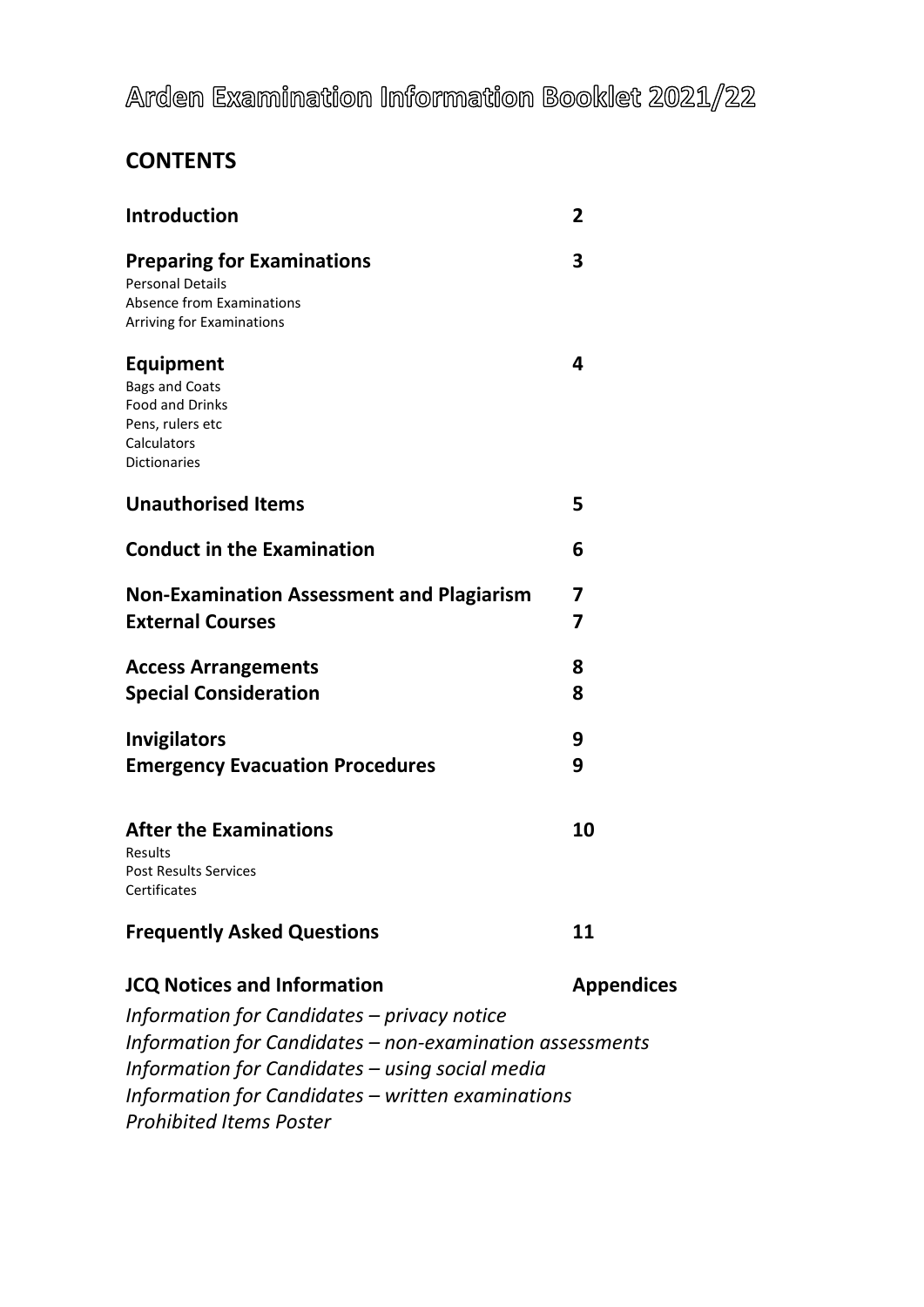# **CONTENTS**

| <b>Introduction</b>                                                                                                           | $\overline{2}$               |
|-------------------------------------------------------------------------------------------------------------------------------|------------------------------|
| <b>Preparing for Examinations</b><br><b>Personal Details</b><br><b>Absence from Examinations</b><br>Arriving for Examinations | 3                            |
| Equipment<br><b>Bags and Coats</b><br><b>Food and Drinks</b><br>Pens, rulers etc<br>Calculators<br><b>Dictionaries</b>        | 4                            |
| <b>Unauthorised Items</b>                                                                                                     | 5                            |
| <b>Conduct in the Examination</b>                                                                                             | 6                            |
| <b>Non-Examination Assessment and Plagiarism</b><br><b>External Courses</b>                                                   | $\overline{\mathbf{z}}$<br>7 |
| <b>Access Arrangements</b><br><b>Special Consideration</b>                                                                    | 8<br>8                       |
| <b>Invigilators</b><br><b>Emergency Evacuation Procedures</b>                                                                 | 9<br>9                       |
| <b>After the Examinations</b><br>Results<br><b>Post Results Services</b><br>Certificates                                      | 10                           |
| <b>Frequently Asked Questions</b>                                                                                             | 11                           |
| <b>JCQ Notices and Information</b><br>Information for Candidates – privacy notice                                             | <b>Appendices</b>            |
| Information for Candidates - non-examination assessments                                                                      |                              |
| Information for Candidates – using social media<br>Information for Candidates - written examinations                          |                              |

*Prohibited Items Poster*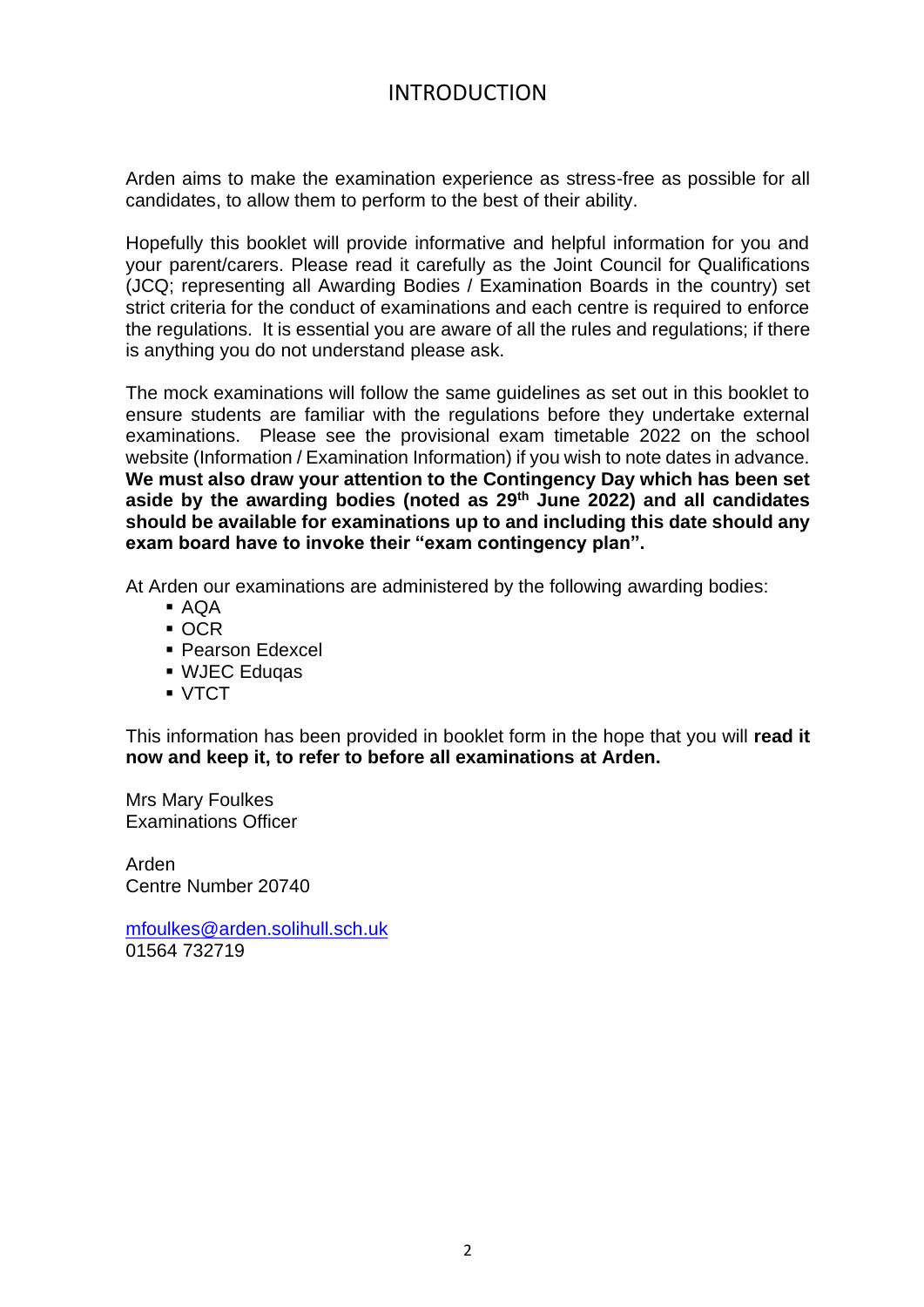# INTRODUCTION

Arden aims to make the examination experience as stress-free as possible for all candidates, to allow them to perform to the best of their ability.

Hopefully this booklet will provide informative and helpful information for you and your parent/carers. Please read it carefully as the Joint Council for Qualifications (JCQ; representing all Awarding Bodies / Examination Boards in the country) set strict criteria for the conduct of examinations and each centre is required to enforce the regulations. It is essential you are aware of all the rules and regulations; if there is anything you do not understand please ask.

The mock examinations will follow the same guidelines as set out in this booklet to ensure students are familiar with the regulations before they undertake external examinations. Please see the provisional exam timetable 2022 on the school website (Information / Examination Information) if you wish to note dates in advance. **We must also draw your attention to the Contingency Day which has been set aside by the awarding bodies (noted as 29 th June 2022) and all candidates should be available for examinations up to and including this date should any exam board have to invoke their "exam contingency plan".**

At Arden our examinations are administered by the following awarding bodies:

- AQA
- OCR
- Pearson Edexcel
- WJEC Edugas
- VTCT

This information has been provided in booklet form in the hope that you will **read it now and keep it, to refer to before all examinations at Arden.**

Mrs Mary Foulkes Examinations Officer

Arden Centre Number 20740

[mfoulkes@arden.solihull.sch.uk](mailto:mfoulkes@arden.solihull.sch.uk) 01564 732719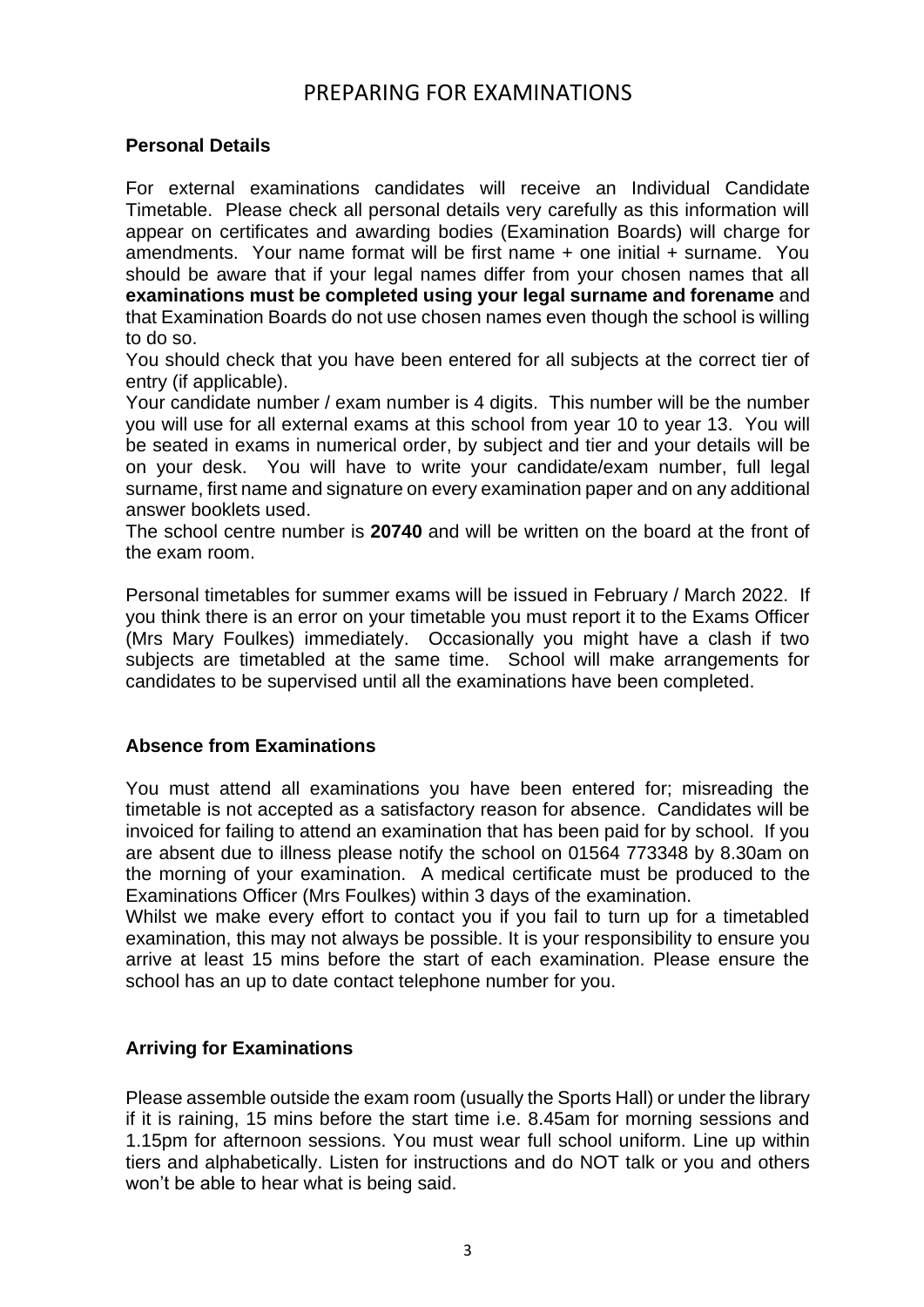# PREPARING FOR EXAMINATIONS

### **Personal Details**

For external examinations candidates will receive an Individual Candidate Timetable. Please check all personal details very carefully as this information will appear on certificates and awarding bodies (Examination Boards) will charge for amendments. Your name format will be first name + one initial + surname. You should be aware that if your legal names differ from your chosen names that all **examinations must be completed using your legal surname and forename** and that Examination Boards do not use chosen names even though the school is willing to do so.

You should check that you have been entered for all subjects at the correct tier of entry (if applicable).

Your candidate number / exam number is 4 digits. This number will be the number you will use for all external exams at this school from year 10 to year 13. You will be seated in exams in numerical order, by subject and tier and your details will be on your desk. You will have to write your candidate/exam number, full legal surname, first name and signature on every examination paper and on any additional answer booklets used.

The school centre number is **20740** and will be written on the board at the front of the exam room.

Personal timetables for summer exams will be issued in February / March 2022. If you think there is an error on your timetable you must report it to the Exams Officer (Mrs Mary Foulkes) immediately. Occasionally you might have a clash if two subjects are timetabled at the same time. School will make arrangements for candidates to be supervised until all the examinations have been completed.

#### **Absence from Examinations**

You must attend all examinations you have been entered for; misreading the timetable is not accepted as a satisfactory reason for absence. Candidates will be invoiced for failing to attend an examination that has been paid for by school. If you are absent due to illness please notify the school on 01564 773348 by 8.30am on the morning of your examination. A medical certificate must be produced to the Examinations Officer (Mrs Foulkes) within 3 days of the examination.

Whilst we make every effort to contact you if you fail to turn up for a timetabled examination, this may not always be possible. It is your responsibility to ensure you arrive at least 15 mins before the start of each examination. Please ensure the school has an up to date contact telephone number for you.

#### **Arriving for Examinations**

Please assemble outside the exam room (usually the Sports Hall) or under the library if it is raining, 15 mins before the start time i.e. 8.45am for morning sessions and 1.15pm for afternoon sessions. You must wear full school uniform. Line up within tiers and alphabetically. Listen for instructions and do NOT talk or you and others won't be able to hear what is being said.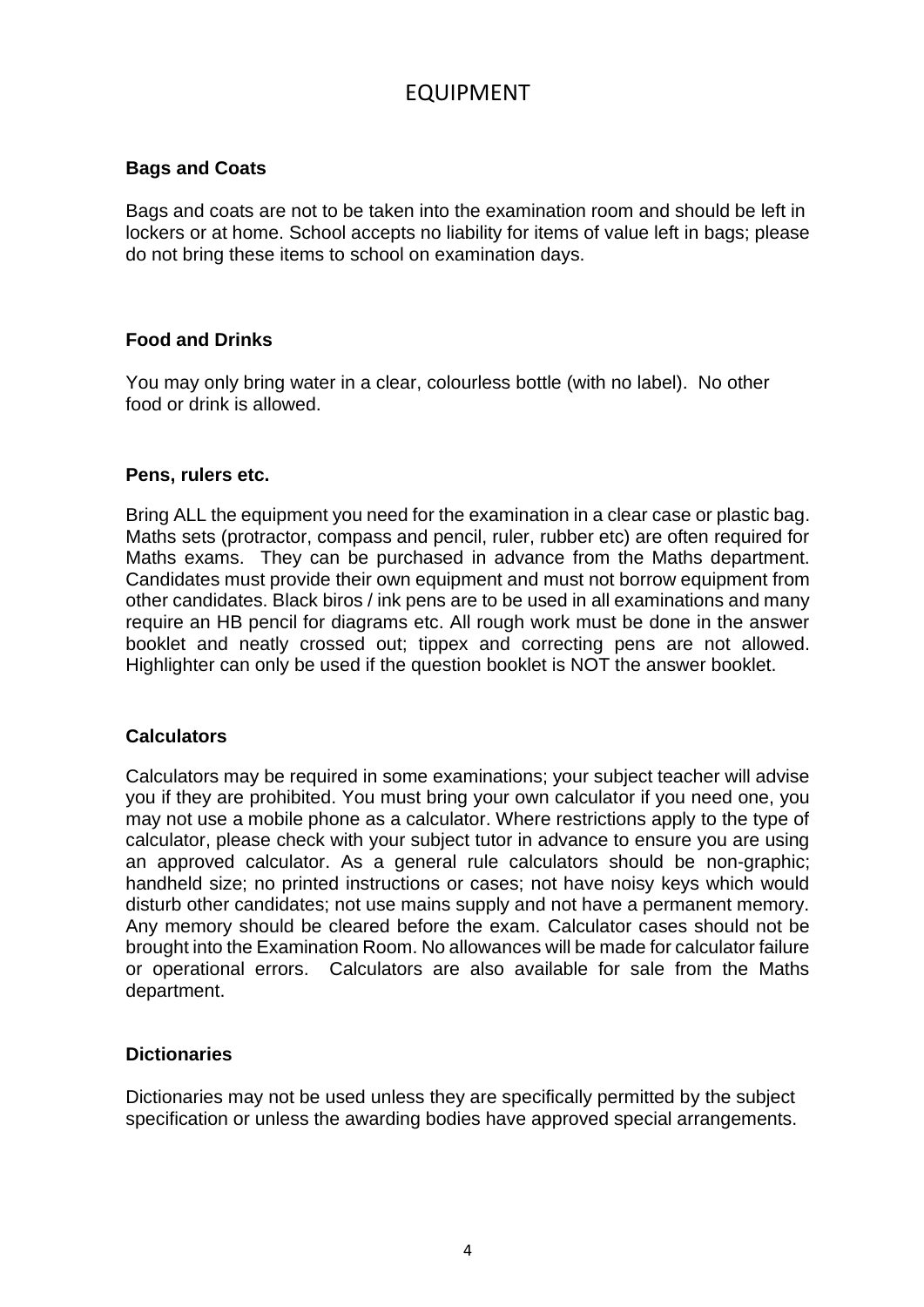# EQUIPMENT

### **Bags and Coats**

Bags and coats are not to be taken into the examination room and should be left in lockers or at home. School accepts no liability for items of value left in bags; please do not bring these items to school on examination days.

### **Food and Drinks**

You may only bring water in a clear, colourless bottle (with no label). No other food or drink is allowed.

#### **Pens, rulers etc.**

Bring ALL the equipment you need for the examination in a clear case or plastic bag. Maths sets (protractor, compass and pencil, ruler, rubber etc) are often required for Maths exams. They can be purchased in advance from the Maths department. Candidates must provide their own equipment and must not borrow equipment from other candidates. Black biros / ink pens are to be used in all examinations and many require an HB pencil for diagrams etc. All rough work must be done in the answer booklet and neatly crossed out; tippex and correcting pens are not allowed. Highlighter can only be used if the question booklet is NOT the answer booklet.

#### **Calculators**

Calculators may be required in some examinations; your subject teacher will advise you if they are prohibited. You must bring your own calculator if you need one, you may not use a mobile phone as a calculator. Where restrictions apply to the type of calculator, please check with your subject tutor in advance to ensure you are using an approved calculator. As a general rule calculators should be non-graphic; handheld size; no printed instructions or cases; not have noisy keys which would disturb other candidates; not use mains supply and not have a permanent memory. Any memory should be cleared before the exam. Calculator cases should not be brought into the Examination Room. No allowances will be made for calculator failure or operational errors. Calculators are also available for sale from the Maths department.

#### **Dictionaries**

Dictionaries may not be used unless they are specifically permitted by the subject specification or unless the awarding bodies have approved special arrangements.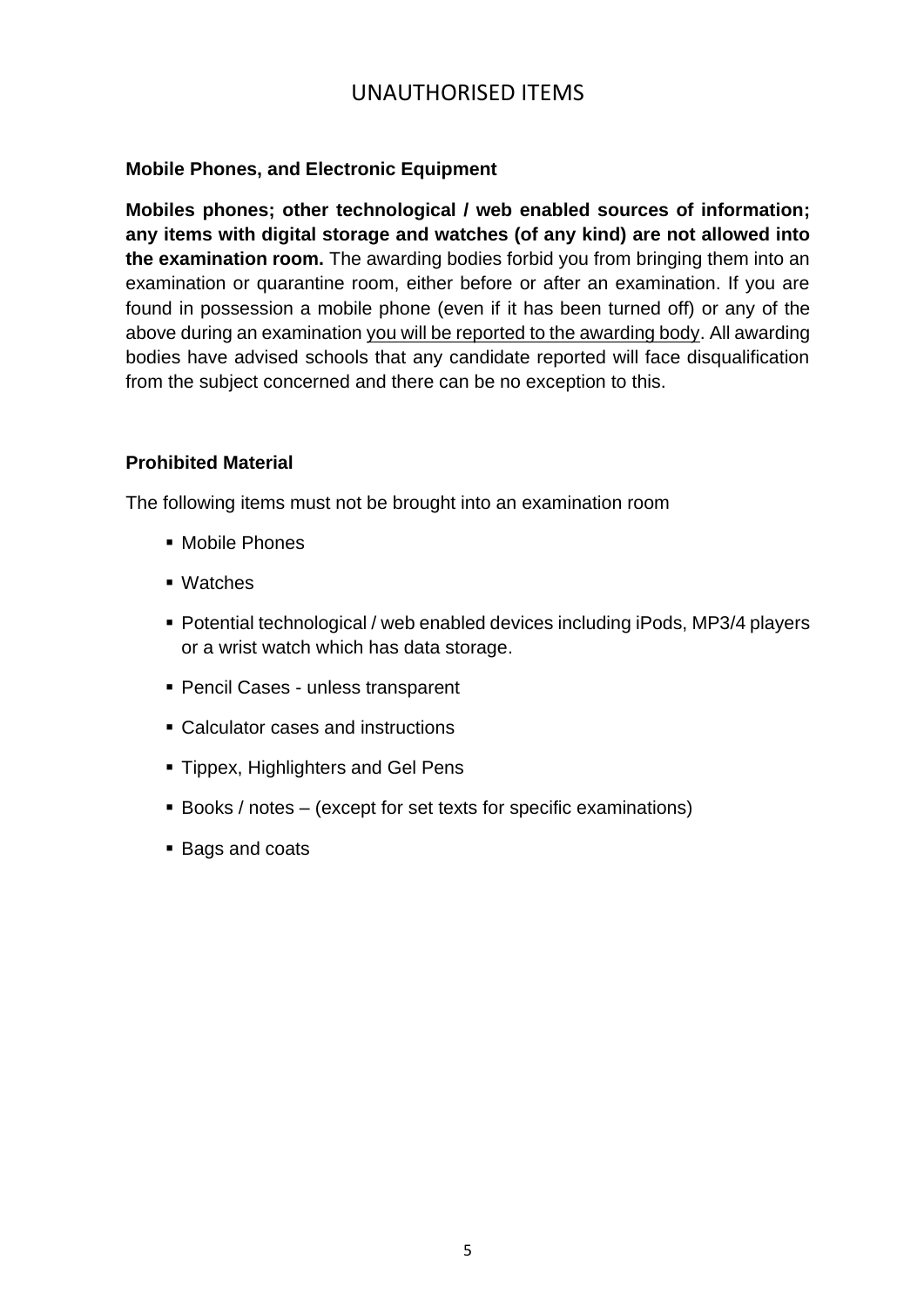# UNAUTHORISED ITEMS

## **Mobile Phones, and Electronic Equipment**

**Mobiles phones; other technological / web enabled sources of information; any items with digital storage and watches (of any kind) are not allowed into the examination room.** The awarding bodies forbid you from bringing them into an examination or quarantine room, either before or after an examination. If you are found in possession a mobile phone (even if it has been turned off) or any of the above during an examination you will be reported to the awarding body. All awarding bodies have advised schools that any candidate reported will face disqualification from the subject concerned and there can be no exception to this.

## **Prohibited Material**

The following items must not be brought into an examination room

- Mobile Phones
- Watches
- Potential technological / web enabled devices including iPods, MP3/4 players or a wrist watch which has data storage.
- Pencil Cases unless transparent
- Calculator cases and instructions
- **Tippex, Highlighters and Gel Pens**
- Books / notes (except for set texts for specific examinations)
- Bags and coats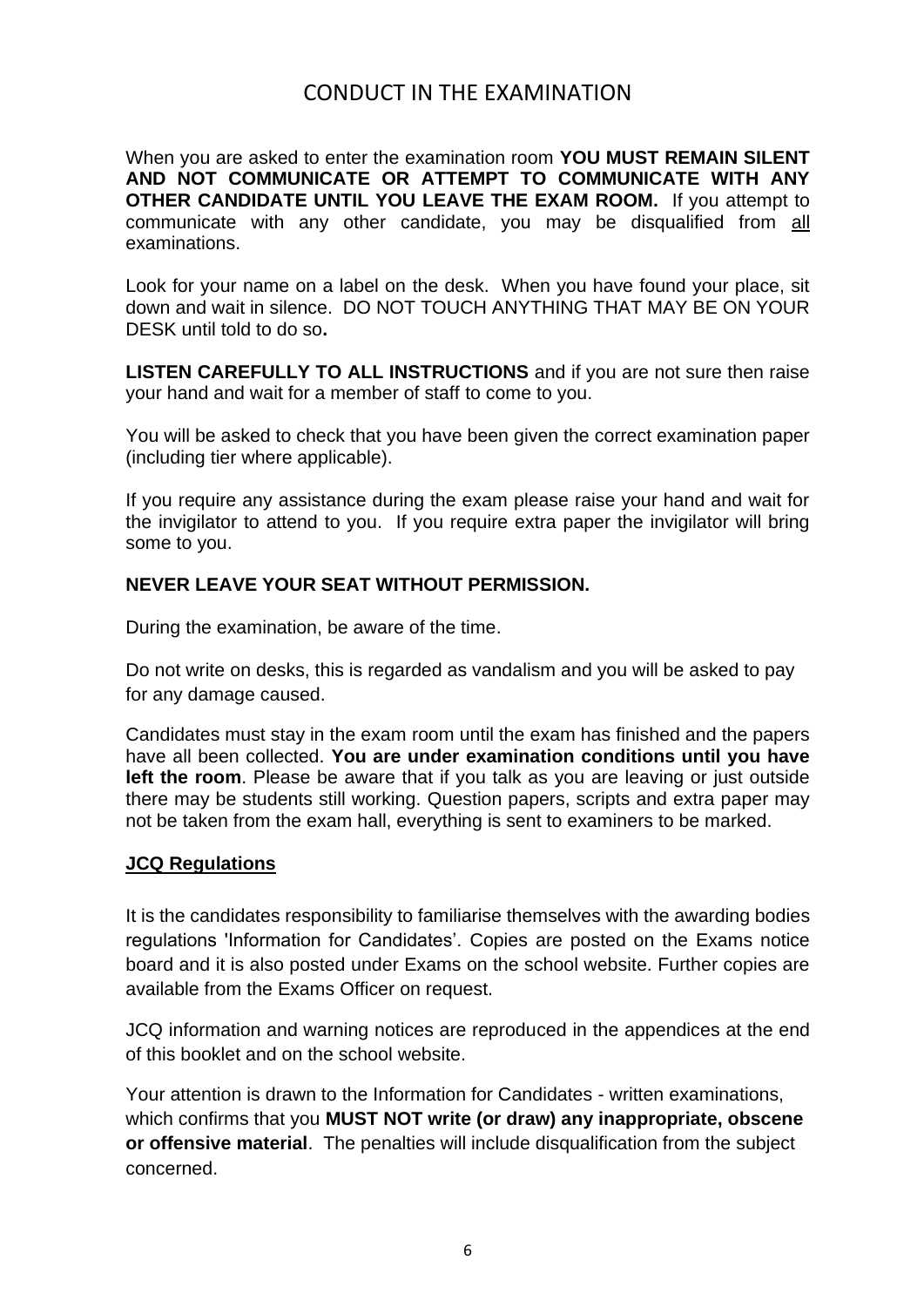# CONDUCT IN THE EXAMINATION

When you are asked to enter the examination room **YOU MUST REMAIN SILENT AND NOT COMMUNICATE OR ATTEMPT TO COMMUNICATE WITH ANY OTHER CANDIDATE UNTIL YOU LEAVE THE EXAM ROOM.** If you attempt to communicate with any other candidate, you may be disqualified from all examinations.

Look for your name on a label on the desk. When you have found your place, sit down and wait in silence. DO NOT TOUCH ANYTHING THAT MAY BE ON YOUR DESK until told to do so**.** 

**LISTEN CAREFULLY TO ALL INSTRUCTIONS** and if you are not sure then raise your hand and wait for a member of staff to come to you.

You will be asked to check that you have been given the correct examination paper (including tier where applicable).

If you require any assistance during the exam please raise your hand and wait for the invigilator to attend to you. If you require extra paper the invigilator will bring some to you.

#### **NEVER LEAVE YOUR SEAT WITHOUT PERMISSION.**

During the examination, be aware of the time.

Do not write on desks, this is regarded as vandalism and you will be asked to pay for any damage caused.

Candidates must stay in the exam room until the exam has finished and the papers have all been collected. **You are under examination conditions until you have left the room**. Please be aware that if you talk as you are leaving or just outside there may be students still working. Question papers, scripts and extra paper may not be taken from the exam hall, everything is sent to examiners to be marked.

#### **JCQ Regulations**

It is the candidates responsibility to familiarise themselves with the awarding bodies regulations 'Information for Candidates'. Copies are posted on the Exams notice board and it is also posted under Exams on the school website. Further copies are available from the Exams Officer on request.

JCQ information and warning notices are reproduced in the appendices at the end of this booklet and on the school website.

Your attention is drawn to the Information for Candidates - written examinations, which confirms that you **MUST NOT write (or draw) any inappropriate, obscene or offensive material**. The penalties will include disqualification from the subject concerned.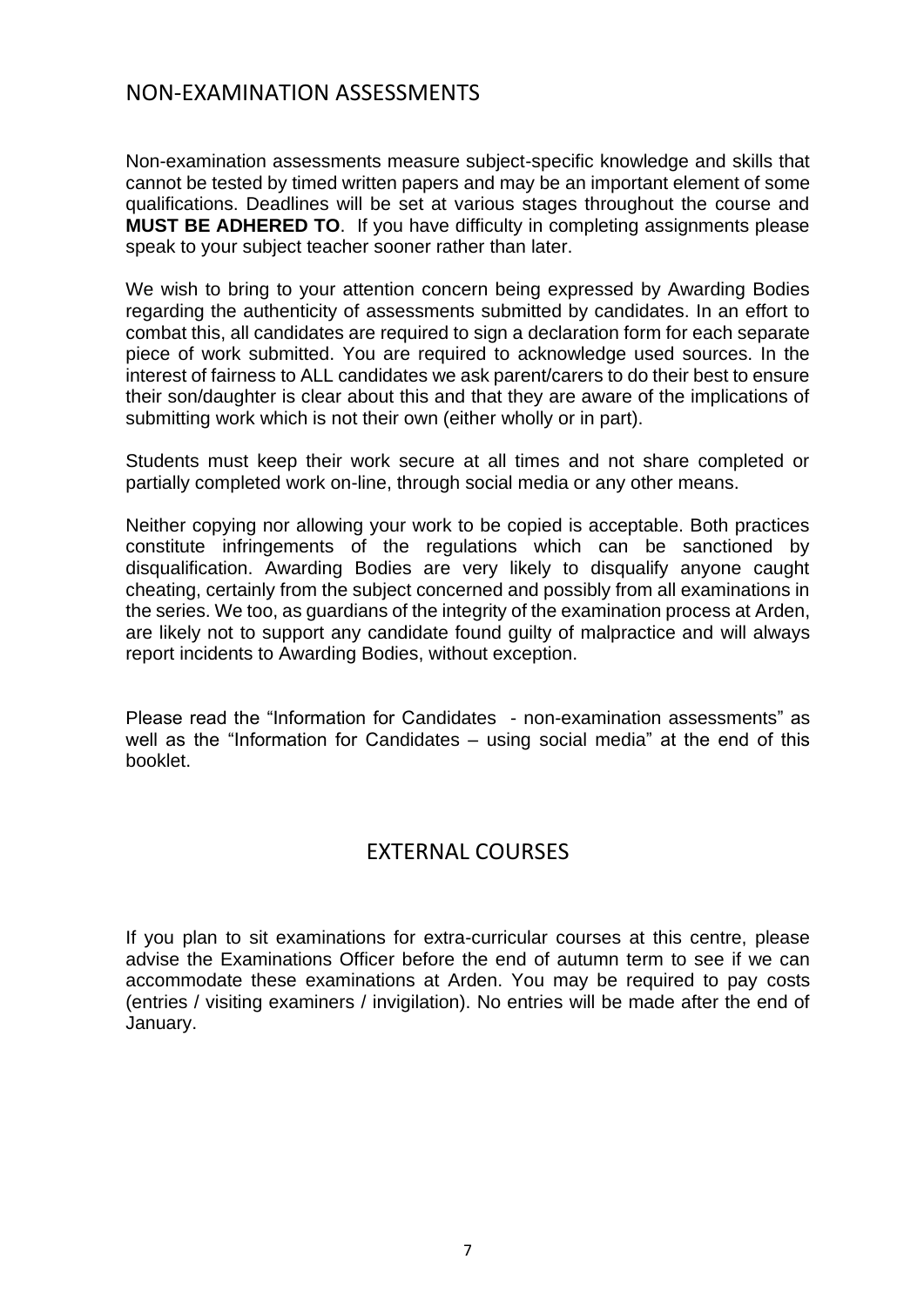## NON-EXAMINATION ASSESSMENTS

Non-examination assessments measure subject-specific knowledge and skills that cannot be tested by timed written papers and may be an important element of some qualifications. Deadlines will be set at various stages throughout the course and **MUST BE ADHERED TO**. If you have difficulty in completing assignments please speak to your subject teacher sooner rather than later.

We wish to bring to your attention concern being expressed by Awarding Bodies regarding the authenticity of assessments submitted by candidates. In an effort to combat this, all candidates are required to sign a declaration form for each separate piece of work submitted. You are required to acknowledge used sources. In the interest of fairness to ALL candidates we ask parent/carers to do their best to ensure their son/daughter is clear about this and that they are aware of the implications of submitting work which is not their own (either wholly or in part).

Students must keep their work secure at all times and not share completed or partially completed work on-line, through social media or any other means.

Neither copying nor allowing your work to be copied is acceptable. Both practices constitute infringements of the regulations which can be sanctioned by disqualification. Awarding Bodies are very likely to disqualify anyone caught cheating, certainly from the subject concerned and possibly from all examinations in the series. We too, as guardians of the integrity of the examination process at Arden, are likely not to support any candidate found guilty of malpractice and will always report incidents to Awarding Bodies, without exception.

Please read the "Information for Candidates - non-examination assessments" as well as the "Information for Candidates – using social media" at the end of this booklet.

# EXTERNAL COURSES

If you plan to sit examinations for extra-curricular courses at this centre, please advise the Examinations Officer before the end of autumn term to see if we can accommodate these examinations at Arden. You may be required to pay costs (entries / visiting examiners / invigilation). No entries will be made after the end of January.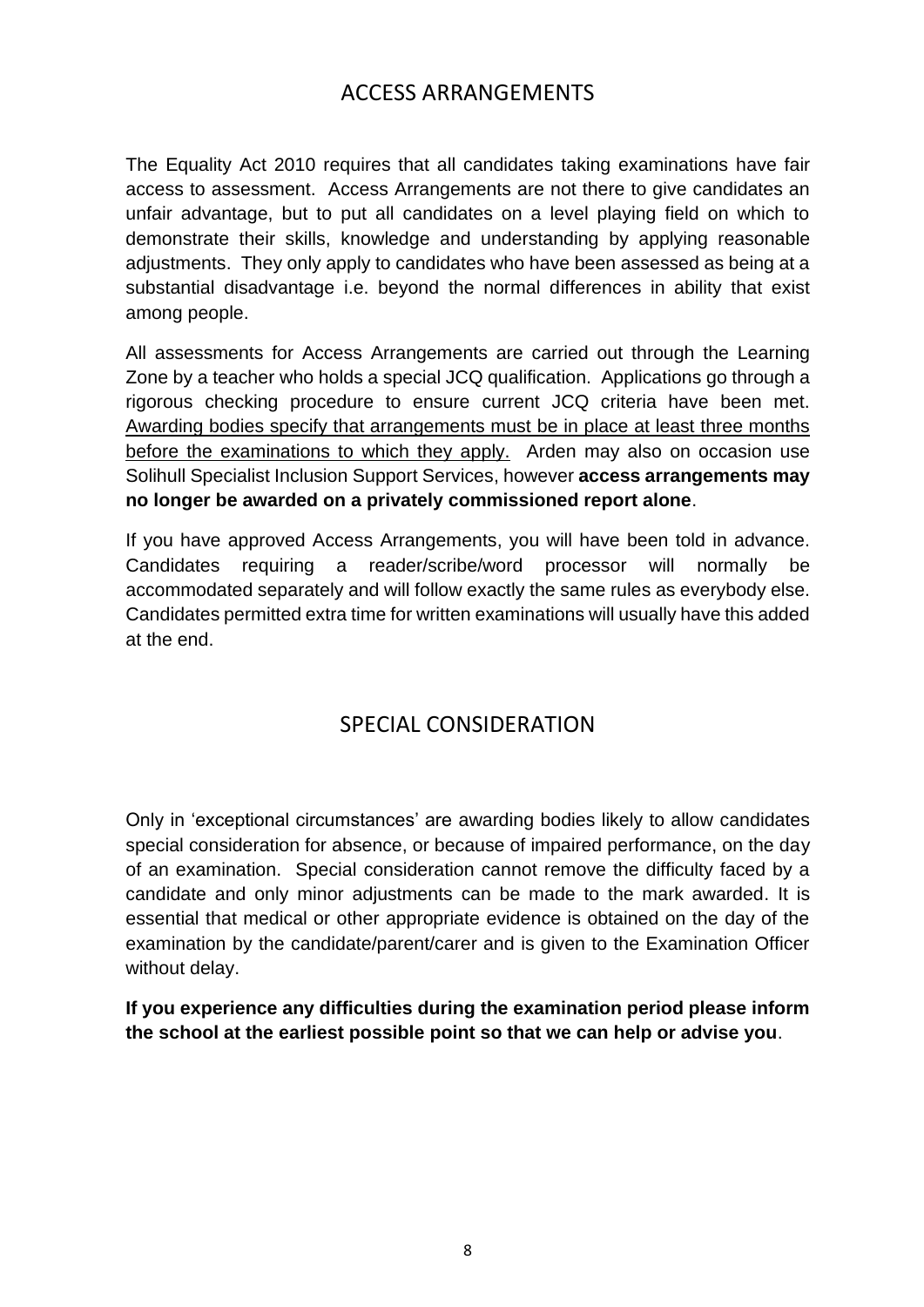# ACCESS ARRANGEMENTS

The Equality Act 2010 requires that all candidates taking examinations have fair access to assessment. Access Arrangements are not there to give candidates an unfair advantage, but to put all candidates on a level playing field on which to demonstrate their skills, knowledge and understanding by applying reasonable adjustments. They only apply to candidates who have been assessed as being at a substantial disadvantage i.e. beyond the normal differences in ability that exist among people.

All assessments for Access Arrangements are carried out through the Learning Zone by a teacher who holds a special JCQ qualification. Applications go through a rigorous checking procedure to ensure current JCQ criteria have been met. Awarding bodies specify that arrangements must be in place at least three months before the examinations to which they apply. Arden may also on occasion use Solihull Specialist Inclusion Support Services, however **access arrangements may no longer be awarded on a privately commissioned report alone**.

If you have approved Access Arrangements, you will have been told in advance. Candidates requiring a reader/scribe/word processor will normally be accommodated separately and will follow exactly the same rules as everybody else. Candidates permitted extra time for written examinations will usually have this added at the end.

# SPECIAL CONSIDERATION

Only in 'exceptional circumstances' are awarding bodies likely to allow candidates special consideration for absence, or because of impaired performance, on the day of an examination. Special consideration cannot remove the difficulty faced by a candidate and only minor adjustments can be made to the mark awarded. It is essential that medical or other appropriate evidence is obtained on the day of the examination by the candidate/parent/carer and is given to the Examination Officer without delay.

**If you experience any difficulties during the examination period please inform the school at the earliest possible point so that we can help or advise you**.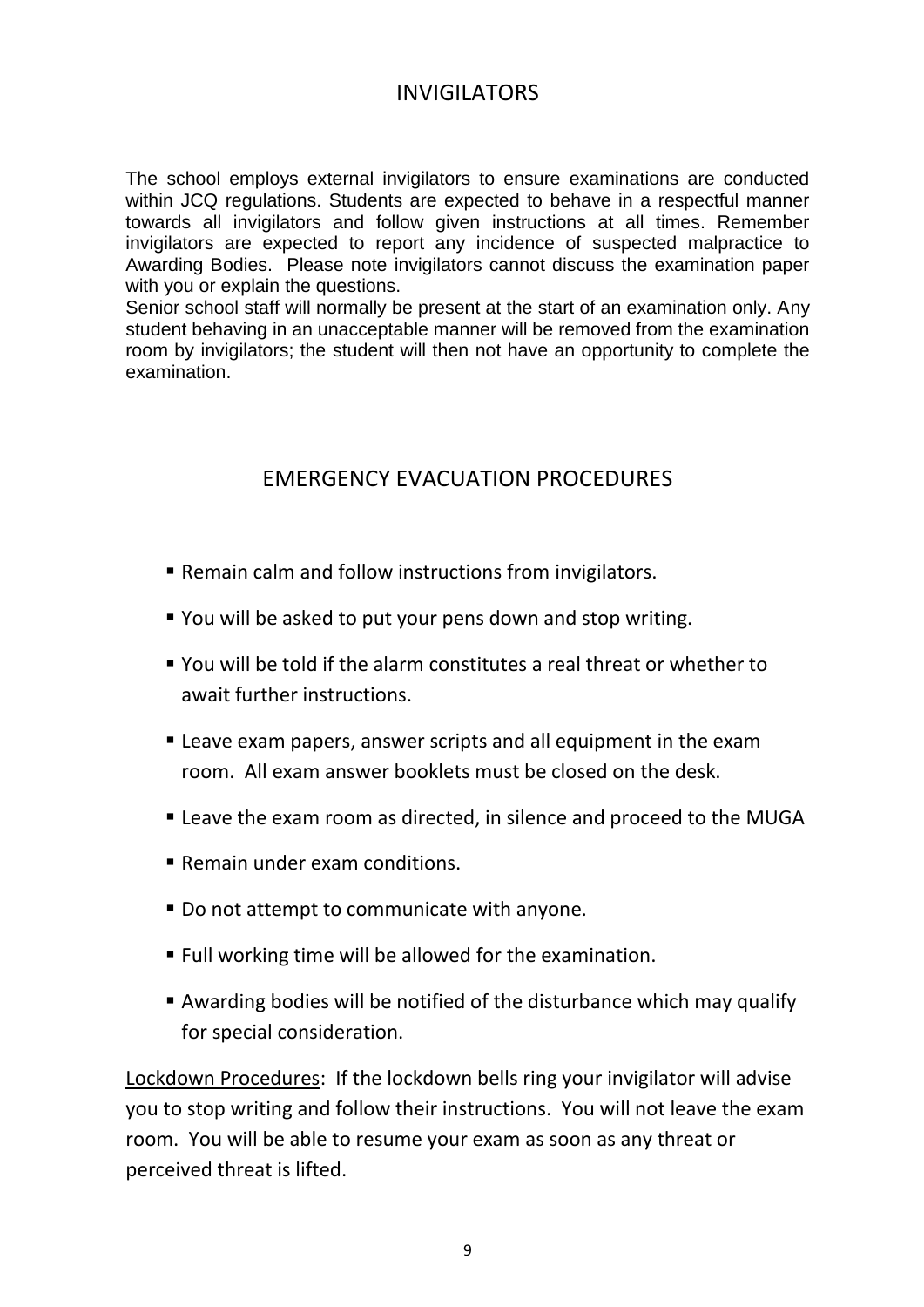# **INVIGILATORS**

The school employs external invigilators to ensure examinations are conducted within JCQ regulations. Students are expected to behave in a respectful manner towards all invigilators and follow given instructions at all times. Remember invigilators are expected to report any incidence of suspected malpractice to Awarding Bodies. Please note invigilators cannot discuss the examination paper with you or explain the questions.

Senior school staff will normally be present at the start of an examination only. Any student behaving in an unacceptable manner will be removed from the examination room by invigilators; the student will then not have an opportunity to complete the examination.

# EMERGENCY EVACUATION PROCEDURES

- Remain calm and follow instructions from invigilators.
- You will be asked to put your pens down and stop writing.
- You will be told if the alarm constitutes a real threat or whether to await further instructions.
- Leave exam papers, answer scripts and all equipment in the exam room. All exam answer booklets must be closed on the desk.
- Leave the exam room as directed, in silence and proceed to the MUGA
- Remain under exam conditions.
- Do not attempt to communicate with anyone.
- Full working time will be allowed for the examination.
- Awarding bodies will be notified of the disturbance which may qualify for special consideration.

Lockdown Procedures: If the lockdown bells ring your invigilator will advise you to stop writing and follow their instructions. You will not leave the exam room. You will be able to resume your exam as soon as any threat or perceived threat is lifted.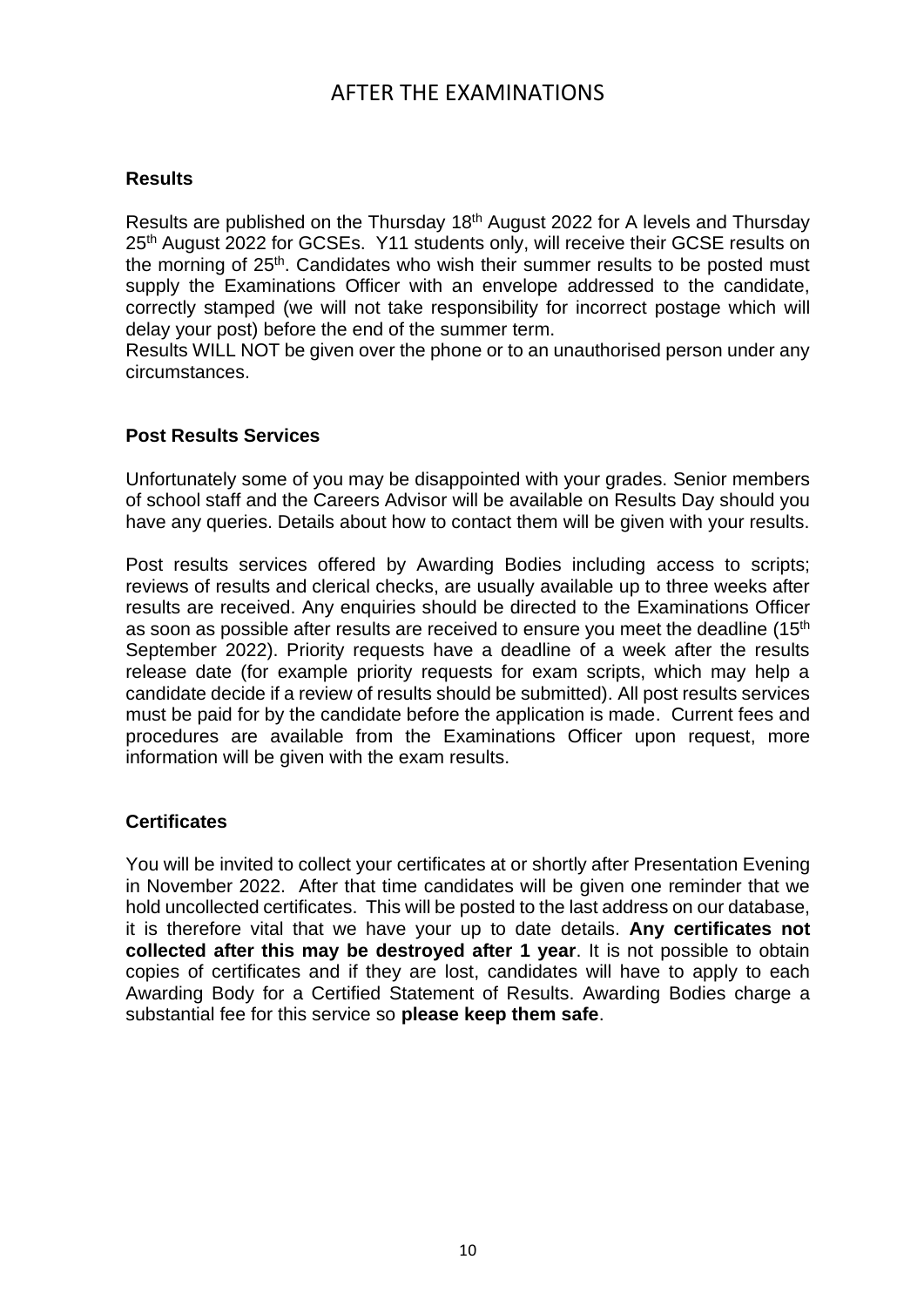# AFTER THE EXAMINATIONS

### **Results**

Results are published on the Thursday 18 th August 2022 for A levels and Thursday 25<sup>th</sup> August 2022 for GCSEs. Y11 students only, will receive their GCSE results on the morning of 25<sup>th</sup>. Candidates who wish their summer results to be posted must supply the Examinations Officer with an envelope addressed to the candidate, correctly stamped (we will not take responsibility for incorrect postage which will delay your post) before the end of the summer term.

Results WILL NOT be given over the phone or to an unauthorised person under any circumstances.

#### **Post Results Services**

Unfortunately some of you may be disappointed with your grades. Senior members of school staff and the Careers Advisor will be available on Results Day should you have any queries. Details about how to contact them will be given with your results.

Post results services offered by Awarding Bodies including access to scripts; reviews of results and clerical checks, are usually available up to three weeks after results are received. Any enquiries should be directed to the Examinations Officer as soon as possible after results are received to ensure you meet the deadline (15<sup>th</sup> September 2022). Priority requests have a deadline of a week after the results release date (for example priority requests for exam scripts, which may help a candidate decide if a review of results should be submitted). All post results services must be paid for by the candidate before the application is made. Current fees and procedures are available from the Examinations Officer upon request, more information will be given with the exam results.

#### **Certificates**

You will be invited to collect your certificates at or shortly after Presentation Evening in November 2022. After that time candidates will be given one reminder that we hold uncollected certificates. This will be posted to the last address on our database, it is therefore vital that we have your up to date details. **Any certificates not collected after this may be destroyed after 1 year**. It is not possible to obtain copies of certificates and if they are lost, candidates will have to apply to each Awarding Body for a Certified Statement of Results. Awarding Bodies charge a substantial fee for this service so **please keep them safe**.